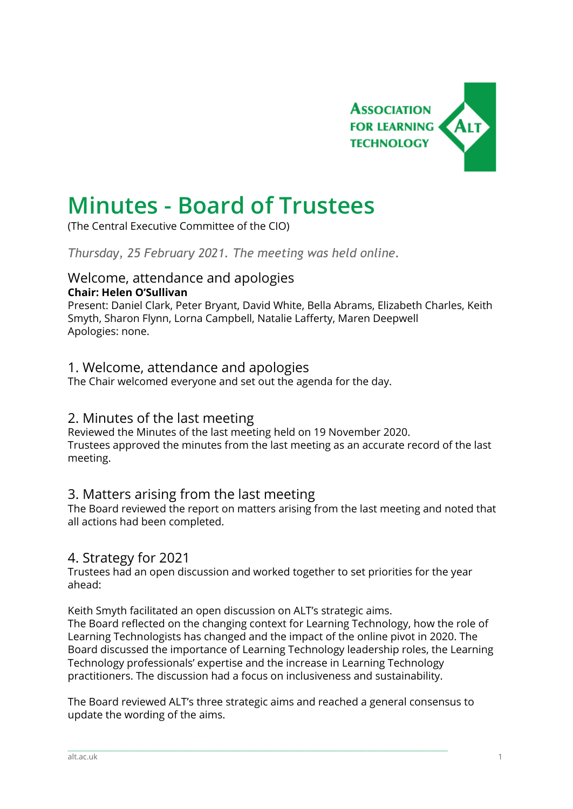

# **Minutes - Board of Trustees**

(The Central Executive Committee of the CIO)

*Thursday, 25 February 2021. The meeting was held online.*

#### Welcome, attendance and apologies **Chair: Helen O'Sullivan**

Present: Daniel Clark, Peter Bryant, David White, Bella Abrams, Elizabeth Charles, Keith Smyth, Sharon Flynn, Lorna Campbell, Natalie Lafferty, Maren Deepwell Apologies: none.

## 1. Welcome, attendance and apologies

The Chair welcomed everyone and set out the agenda for the day.

### 2. Minutes of the last meeting

Reviewed the Minutes of the last meeting held on 19 November 2020. Trustees approved the minutes from the last meeting as an accurate record of the last meeting.

## 3. Matters arising from the last meeting

The Board reviewed the report on matters arising from the last meeting and noted that all actions had been completed.

### 4. Strategy for 2021

Trustees had an open discussion and worked together to set priorities for the year ahead:

Keith Smyth facilitated an open discussion on ALT's strategic aims.

The Board reflected on the changing context for Learning Technology, how the role of Learning Technologists has changed and the impact of the online pivot in 2020. The Board discussed the importance of Learning Technology leadership roles, the Learning Technology professionals' expertise and the increase in Learning Technology practitioners. The discussion had a focus on inclusiveness and sustainability.

The Board reviewed ALT's three strategic aims and reached a general consensus to update the wording of the aims.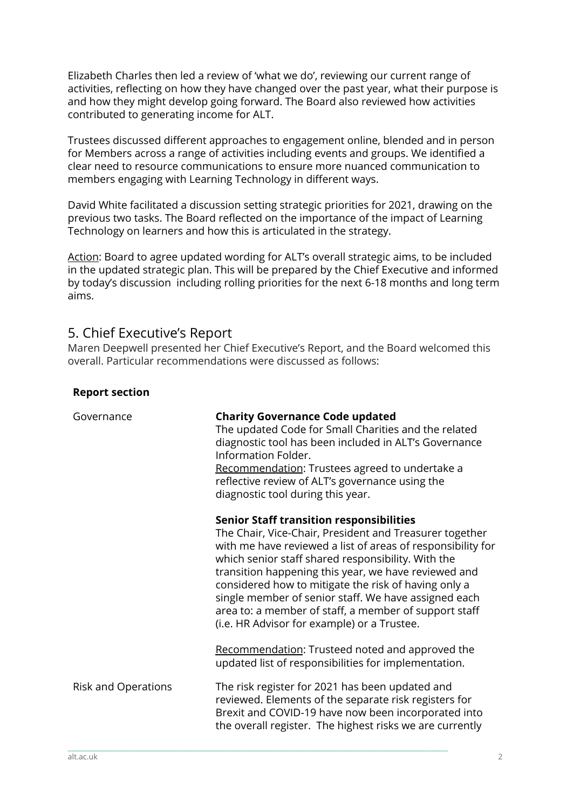Elizabeth Charles then led a review of 'what we do', reviewing our current range of activities, reflecting on how they have changed over the past year, what their purpose is and how they might develop going forward. The Board also reviewed how activities contributed to generating income for ALT.

Trustees discussed different approaches to engagement online, blended and in person for Members across a range of activities including events and groups. We identified a clear need to resource communications to ensure more nuanced communication to members engaging with Learning Technology in different ways.

David White facilitated a discussion setting strategic priorities for 2021, drawing on the previous two tasks. The Board reflected on the importance of the impact of Learning Technology on learners and how this is articulated in the strategy.

Action: Board to agree updated wording for ALT's overall strategic aims, to be included in the updated strategic plan. This will be prepared by the Chief Executive and informed by today's discussion including rolling priorities for the next 6-18 months and long term aims.

## 5. Chief Executive's Report

**Report section**

Maren Deepwell presented her Chief Executive's Report, and the Board welcomed this overall. Particular recommendations were discussed as follows:

| Governance                 | <b>Charity Governance Code updated</b><br>The updated Code for Small Charities and the related<br>diagnostic tool has been included in ALT's Governance<br>Information Folder.<br>Recommendation: Trustees agreed to undertake a<br>reflective review of ALT's governance using the<br>diagnostic tool during this year.                                                                                                                                                                                        |
|----------------------------|-----------------------------------------------------------------------------------------------------------------------------------------------------------------------------------------------------------------------------------------------------------------------------------------------------------------------------------------------------------------------------------------------------------------------------------------------------------------------------------------------------------------|
|                            | <b>Senior Staff transition responsibilities</b><br>The Chair, Vice-Chair, President and Treasurer together<br>with me have reviewed a list of areas of responsibility for<br>which senior staff shared responsibility. With the<br>transition happening this year, we have reviewed and<br>considered how to mitigate the risk of having only a<br>single member of senior staff. We have assigned each<br>area to: a member of staff, a member of support staff<br>(i.e. HR Advisor for example) or a Trustee. |
|                            | Recommendation: Trusteed noted and approved the<br>updated list of responsibilities for implementation.                                                                                                                                                                                                                                                                                                                                                                                                         |
| <b>Risk and Operations</b> | The risk register for 2021 has been updated and<br>reviewed. Elements of the separate risk registers for<br>Brexit and COVID-19 have now been incorporated into<br>the overall register. The highest risks we are currently                                                                                                                                                                                                                                                                                     |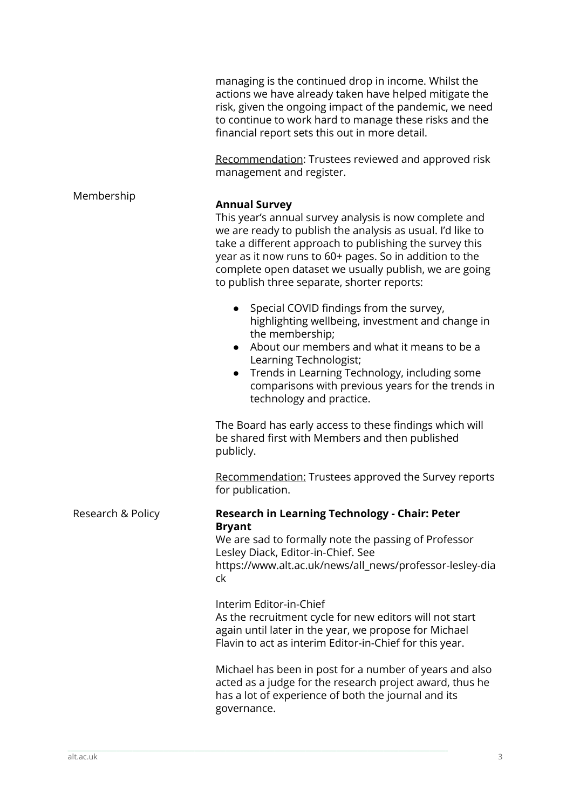|                   | managing is the continued drop in income. Whilst the<br>actions we have already taken have helped mitigate the<br>risk, given the ongoing impact of the pandemic, we need<br>to continue to work hard to manage these risks and the<br>financial report sets this out in more detail.                                                                                       |
|-------------------|-----------------------------------------------------------------------------------------------------------------------------------------------------------------------------------------------------------------------------------------------------------------------------------------------------------------------------------------------------------------------------|
|                   | Recommendation: Trustees reviewed and approved risk<br>management and register.                                                                                                                                                                                                                                                                                             |
| Membership        | <b>Annual Survey</b><br>This year's annual survey analysis is now complete and<br>we are ready to publish the analysis as usual. I'd like to<br>take a different approach to publishing the survey this<br>year as it now runs to 60+ pages. So in addition to the<br>complete open dataset we usually publish, we are going<br>to publish three separate, shorter reports: |
|                   | • Special COVID findings from the survey,<br>highlighting wellbeing, investment and change in<br>the membership;<br>About our members and what it means to be a<br>Learning Technologist;<br>Trends in Learning Technology, including some<br>comparisons with previous years for the trends in<br>technology and practice.                                                 |
|                   | The Board has early access to these findings which will<br>be shared first with Members and then published<br>publicly.                                                                                                                                                                                                                                                     |
|                   | Recommendation: Trustees approved the Survey reports<br>for publication.                                                                                                                                                                                                                                                                                                    |
| Research & Policy | Research in Learning Technology - Chair: Peter<br><b>Bryant</b><br>We are sad to formally note the passing of Professor<br>Lesley Diack, Editor-in-Chief. See<br>https://www.alt.ac.uk/news/all_news/professor-lesley-dia<br>ck                                                                                                                                             |
|                   | Interim Editor-in-Chief<br>As the recruitment cycle for new editors will not start<br>again until later in the year, we propose for Michael<br>Flavin to act as interim Editor-in-Chief for this year.                                                                                                                                                                      |
|                   | Michael has been in post for a number of years and also<br>acted as a judge for the research project award, thus he<br>has a lot of experience of both the journal and its<br>governance.                                                                                                                                                                                   |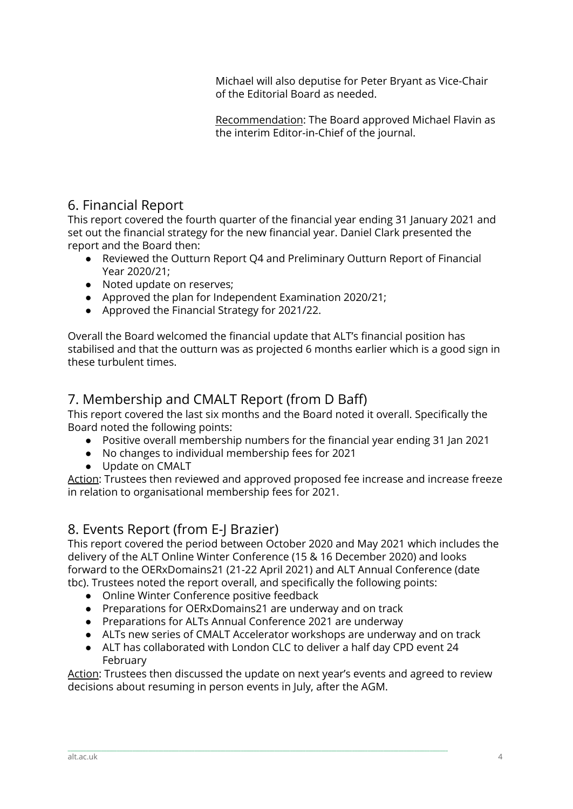Michael will also deputise for Peter Bryant as Vice-Chair of the Editorial Board as needed.

Recommendation: The Board approved Michael Flavin as the interim Editor-in-Chief of the journal.

# 6. Financial Report

This report covered the fourth quarter of the financial year ending 31 January 2021 and set out the financial strategy for the new financial year. Daniel Clark presented the report and the Board then:

- Reviewed the Outturn Report Q4 and Preliminary Outturn Report of Financial Year 2020/21;
- Noted update on reserves;
- Approved the plan for Independent Examination 2020/21;
- Approved the Financial Strategy for 2021/22.

Overall the Board welcomed the financial update that ALT's financial position has stabilised and that the outturn was as projected 6 months earlier which is a good sign in these turbulent times.

# 7. Membership and CMALT Report (from D Baff)

This report covered the last six months and the Board noted it overall. Specifically the Board noted the following points:

- Positive overall membership numbers for the financial year ending 31 Jan 2021
- No changes to individual membership fees for 2021
- Update on CMALT

Action: Trustees then reviewed and approved proposed fee increase and increase freeze in relation to organisational membership fees for 2021.

# 8. Events Report (from E-J Brazier)

This report covered the period between October 2020 and May 2021 which includes the delivery of the ALT Online Winter Conference (15 & 16 December 2020) and looks forward to the OERxDomains21 (21-22 April 2021) and ALT Annual Conference (date tbc). Trustees noted the report overall, and specifically the following points:

- Online Winter Conference positive feedback
- Preparations for OERxDomains21 are underway and on track
- Preparations for ALTs Annual Conference 2021 are underway
- ALTs new series of CMALT Accelerator workshops are underway and on track
- ALT has collaborated with London CLC to deliver a half day CPD event 24 February

\_\_\_\_\_\_\_\_\_\_\_\_\_\_\_\_\_\_\_\_\_\_\_\_\_\_\_\_\_\_\_\_\_\_\_\_\_\_\_\_\_\_\_\_\_\_\_\_\_\_\_\_\_\_\_\_\_\_\_\_\_\_\_\_\_\_\_\_\_\_\_\_\_\_\_\_\_\_\_\_\_\_\_\_\_\_\_\_\_\_\_\_\_\_\_\_\_\_\_\_\_\_\_\_\_\_\_\_\_\_\_\_\_\_\_\_\_\_\_\_\_\_\_\_\_\_\_\_\_\_\_\_\_\_\_\_\_\_\_\_\_\_\_\_\_\_\_

Action: Trustees then discussed the update on next year's events and agreed to review decisions about resuming in person events in July, after the AGM.